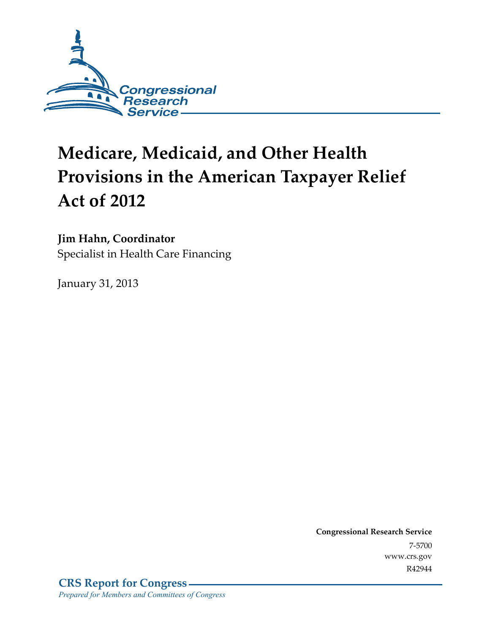

# **Medicare, Medicaid, and Other Health Provisions in the American Taxpayer Relief Act of 2012**

### **Jim Hahn, Coordinator**

Specialist in Health Care Financing

January 31, 2013

**Congressional Research Service**  7-5700 www.crs.gov R42944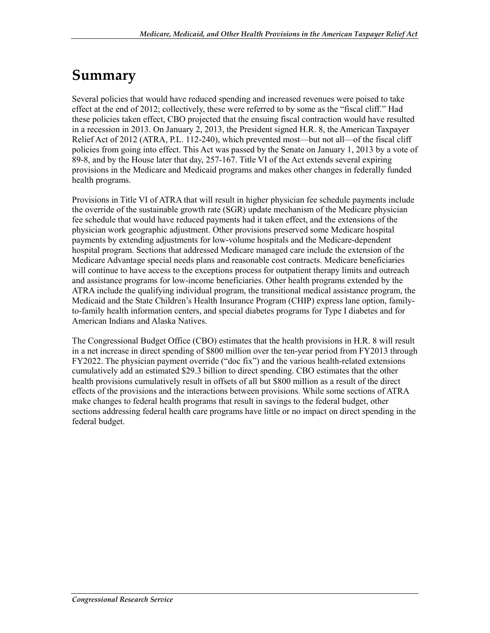## **Summary**

Several policies that would have reduced spending and increased revenues were poised to take effect at the end of 2012; collectively, these were referred to by some as the "fiscal cliff." Had these policies taken effect, CBO projected that the ensuing fiscal contraction would have resulted in a recession in 2013. On January 2, 2013, the President signed H.R. 8, the American Taxpayer Relief Act of 2012 (ATRA, P.L. 112-240), which prevented most—but not all—of the fiscal cliff policies from going into effect. This Act was passed by the Senate on January 1, 2013 by a vote of 89-8, and by the House later that day, 257-167. Title VI of the Act extends several expiring provisions in the Medicare and Medicaid programs and makes other changes in federally funded health programs.

Provisions in Title VI of ATRA that will result in higher physician fee schedule payments include the override of the sustainable growth rate (SGR) update mechanism of the Medicare physician fee schedule that would have reduced payments had it taken effect, and the extensions of the physician work geographic adjustment. Other provisions preserved some Medicare hospital payments by extending adjustments for low-volume hospitals and the Medicare-dependent hospital program. Sections that addressed Medicare managed care include the extension of the Medicare Advantage special needs plans and reasonable cost contracts. Medicare beneficiaries will continue to have access to the exceptions process for outpatient therapy limits and outreach and assistance programs for low-income beneficiaries. Other health programs extended by the ATRA include the qualifying individual program, the transitional medical assistance program, the Medicaid and the State Children's Health Insurance Program (CHIP) express lane option, familyto-family health information centers, and special diabetes programs for Type I diabetes and for American Indians and Alaska Natives.

The Congressional Budget Office (CBO) estimates that the health provisions in H.R. 8 will result in a net increase in direct spending of \$800 million over the ten-year period from FY2013 through FY2022. The physician payment override ("doc fix") and the various health-related extensions cumulatively add an estimated \$29.3 billion to direct spending. CBO estimates that the other health provisions cumulatively result in offsets of all but \$800 million as a result of the direct effects of the provisions and the interactions between provisions. While some sections of ATRA make changes to federal health programs that result in savings to the federal budget, other sections addressing federal health care programs have little or no impact on direct spending in the federal budget.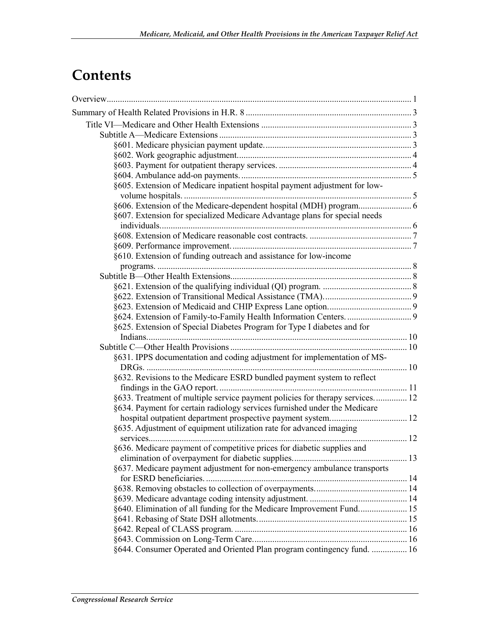## **Contents**

| §605. Extension of Medicare inpatient hospital payment adjustment for low-   |  |
|------------------------------------------------------------------------------|--|
|                                                                              |  |
|                                                                              |  |
| §607. Extension for specialized Medicare Advantage plans for special needs   |  |
|                                                                              |  |
|                                                                              |  |
|                                                                              |  |
| §610. Extension of funding outreach and assistance for low-income            |  |
|                                                                              |  |
|                                                                              |  |
|                                                                              |  |
|                                                                              |  |
|                                                                              |  |
|                                                                              |  |
| §625. Extension of Special Diabetes Program for Type I diabetes and for      |  |
|                                                                              |  |
|                                                                              |  |
| §631. IPPS documentation and coding adjustment for implementation of MS-     |  |
|                                                                              |  |
| §632. Revisions to the Medicare ESRD bundled payment system to reflect       |  |
|                                                                              |  |
| §633. Treatment of multiple service payment policies for therapy services 12 |  |
| §634. Payment for certain radiology services furnished under the Medicare    |  |
|                                                                              |  |
| §635. Adjustment of equipment utilization rate for advanced imaging          |  |
|                                                                              |  |
| §636. Medicare payment of competitive prices for diabetic supplies and       |  |
| §637. Medicare payment adjustment for non-emergency ambulance transports     |  |
|                                                                              |  |
|                                                                              |  |
|                                                                              |  |
|                                                                              |  |
| §640. Elimination of all funding for the Medicare Improvement Fund 15        |  |
|                                                                              |  |
|                                                                              |  |
| §644. Consumer Operated and Oriented Plan program contingency fund.  16      |  |
|                                                                              |  |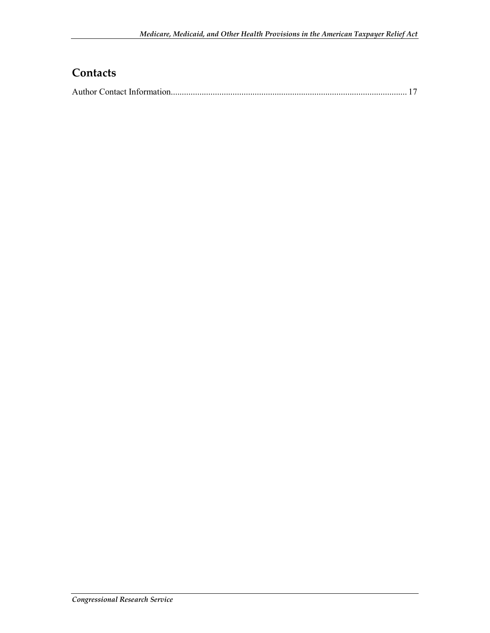### **Contacts**

|--|--|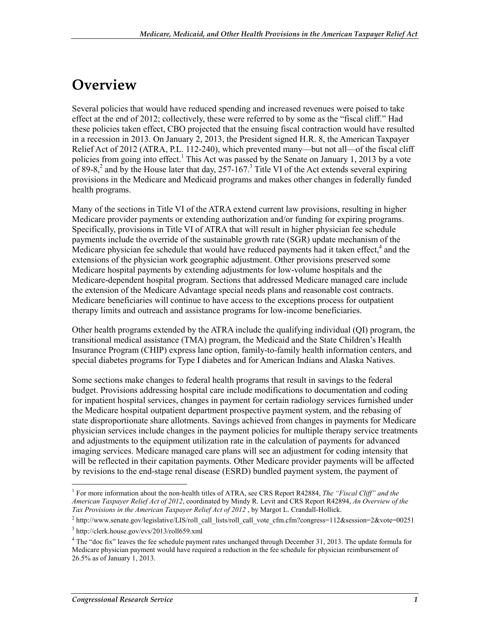## **Overview**

Several policies that would have reduced spending and increased revenues were poised to take effect at the end of 2012; collectively, these were referred to by some as the "fiscal cliff." Had these policies taken effect, CBO projected that the ensuing fiscal contraction would have resulted in a recession in 2013. On January 2, 2013, the President signed H.R. 8, the American Taxpayer Relief Act of 2012 (ATRA, P.L. 112-240), which prevented many—but not all—of the fiscal cliff policies from going into effect.<sup>1</sup> This Act was passed by the Senate on January 1, 2013 by a vote of 89-8,<sup>2</sup> and by the House later that day, 257-167.<sup>3</sup> Title VI of the Act extends several expiring provisions in the Medicare and Medicaid programs and makes other changes in federally funded health programs.

Many of the sections in Title VI of the ATRA extend current law provisions, resulting in higher Medicare provider payments or extending authorization and/or funding for expiring programs. Specifically, provisions in Title VI of ATRA that will result in higher physician fee schedule payments include the override of the sustainable growth rate (SGR) update mechanism of the Medicare physician fee schedule that would have reduced payments had it taken effect, $4$  and the extensions of the physician work geographic adjustment. Other provisions preserved some Medicare hospital payments by extending adjustments for low-volume hospitals and the Medicare-dependent hospital program. Sections that addressed Medicare managed care include the extension of the Medicare Advantage special needs plans and reasonable cost contracts. Medicare beneficiaries will continue to have access to the exceptions process for outpatient therapy limits and outreach and assistance programs for low-income beneficiaries.

Other health programs extended by the ATRA include the qualifying individual (QI) program, the transitional medical assistance (TMA) program, the Medicaid and the State Children's Health Insurance Program (CHIP) express lane option, family-to-family health information centers, and special diabetes programs for Type I diabetes and for American Indians and Alaska Natives.

Some sections make changes to federal health programs that result in savings to the federal budget. Provisions addressing hospital care include modifications to documentation and coding for inpatient hospital services, changes in payment for certain radiology services furnished under the Medicare hospital outpatient department prospective payment system, and the rebasing of state disproportionate share allotments. Savings achieved from changes in payments for Medicare physician services include changes in the payment policies for multiple therapy service treatments and adjustments to the equipment utilization rate in the calculation of payments for advanced imaging services. Medicare managed care plans will see an adjustment for coding intensity that will be reflected in their capitation payments. Other Medicare provider payments will be affected by revisions to the end-stage renal disease (ESRD) bundled payment system, the payment of

 1 For more information about the non-health titles of ATRA, see CRS Report R42884, *The "Fiscal Cliff" and the American Taxpayer Relief Act of 2012*, coordinated by Mindy R. Levit and CRS Report R42894, *An Overview of the Tax Provisions in the American Taxpayer Relief Act of 2012* , by Margot L. Crandall-Hollick.

<sup>&</sup>lt;sup>2</sup> http://www.senate.gov/legislative/LIS/roll\_call\_lists/roll\_call\_vote\_cfm.cfm?congress=112&session=2&vote=00251

<sup>3</sup> http://clerk.house.gov/evs/2013/roll659.xml

<sup>&</sup>lt;sup>4</sup> The "doc fix" leaves the fee schedule payment rates unchanged through December 31, 2013. The update formula for Medicare physician payment would have required a reduction in the fee schedule for physician reimbursement of 26.5% as of January 1, 2013.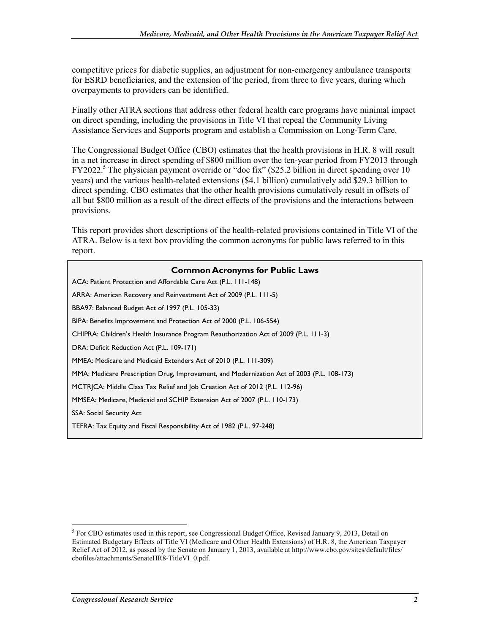competitive prices for diabetic supplies, an adjustment for non-emergency ambulance transports for ESRD beneficiaries, and the extension of the period, from three to five years, during which overpayments to providers can be identified.

Finally other ATRA sections that address other federal health care programs have minimal impact on direct spending, including the provisions in Title VI that repeal the Community Living Assistance Services and Supports program and establish a Commission on Long-Term Care.

The Congressional Budget Office (CBO) estimates that the health provisions in H.R. 8 will result in a net increase in direct spending of \$800 million over the ten-year period from FY2013 through FY2022.<sup>5</sup> The physician payment override or "doc fix" (\$25.2 billion in direct spending over 10 years) and the various health-related extensions (\$4.1 billion) cumulatively add \$29.3 billion to direct spending. CBO estimates that the other health provisions cumulatively result in offsets of all but \$800 million as a result of the direct effects of the provisions and the interactions between provisions.

This report provides short descriptions of the health-related provisions contained in Title VI of the ATRA. Below is a text box providing the common acronyms for public laws referred to in this report.

| <b>Common Acronyms for Public Laws</b>                                                     |
|--------------------------------------------------------------------------------------------|
| ACA: Patient Protection and Affordable Care Act (P.L. 111-148)                             |
| ARRA: American Recovery and Reinvestment Act of 2009 (P.L. 111-5)                          |
| BBA97: Balanced Budget Act of 1997 (P.L. 105-33)                                           |
| BIPA: Benefits Improvement and Protection Act of 2000 (P.L. 106-554)                       |
| CHIPRA: Children's Health Insurance Program Reauthorization Act of 2009 (P.L. 111-3)       |
| DRA: Deficit Reduction Act (P.L. 109-171)                                                  |
| MMEA: Medicare and Medicaid Extenders Act of 2010 (P.L. 111-309)                           |
| MMA: Medicare Prescription Drug, Improvement, and Modernization Act of 2003 (P.L. 108-173) |
| MCTRICA: Middle Class Tax Relief and Job Creation Act of 2012 (P.L. 112-96)                |
| MMSEA: Medicare, Medicaid and SCHIP Extension Act of 2007 (P.L. 110-173)                   |
| SSA: Social Security Act                                                                   |
| TEFRA: Tax Equity and Fiscal Responsibility Act of 1982 (P.L. 97-248)                      |

<sup>1</sup> <sup>5</sup> For CBO estimates used in this report, see Congressional Budget Office, Revised January 9, 2013, Detail on Estimated Budgetary Effects of Title VI (Medicare and Other Health Extensions) of H.R. 8, the American Taxpayer Relief Act of 2012, as passed by the Senate on January 1, 2013, available at http://www.cbo.gov/sites/default/files/ cbofiles/attachments/SenateHR8-TitleVI\_0.pdf.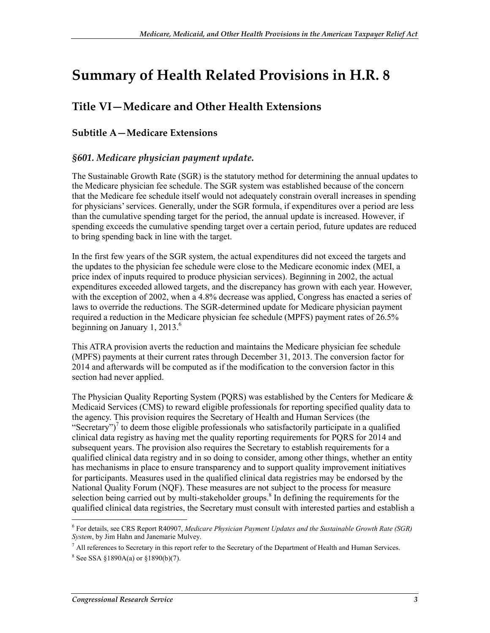## **Summary of Health Related Provisions in H.R. 8**

### **Title VI—Medicare and Other Health Extensions**

#### **Subtitle A—Medicare Extensions**

#### *§601. Medicare physician payment update.*

The Sustainable Growth Rate (SGR) is the statutory method for determining the annual updates to the Medicare physician fee schedule. The SGR system was established because of the concern that the Medicare fee schedule itself would not adequately constrain overall increases in spending for physicians' services. Generally, under the SGR formula, if expenditures over a period are less than the cumulative spending target for the period, the annual update is increased. However, if spending exceeds the cumulative spending target over a certain period, future updates are reduced to bring spending back in line with the target.

In the first few years of the SGR system, the actual expenditures did not exceed the targets and the updates to the physician fee schedule were close to the Medicare economic index (MEI, a price index of inputs required to produce physician services). Beginning in 2002, the actual expenditures exceeded allowed targets, and the discrepancy has grown with each year. However, with the exception of 2002, when a 4.8% decrease was applied, Congress has enacted a series of laws to override the reductions. The SGR-determined update for Medicare physician payment required a reduction in the Medicare physician fee schedule (MPFS) payment rates of 26.5% beginning on January 1, 2013.<sup>6</sup>

This ATRA provision averts the reduction and maintains the Medicare physician fee schedule (MPFS) payments at their current rates through December 31, 2013. The conversion factor for 2014 and afterwards will be computed as if the modification to the conversion factor in this section had never applied.

The Physician Quality Reporting System (PQRS) was established by the Centers for Medicare & Medicaid Services (CMS) to reward eligible professionals for reporting specified quality data to the agency. This provision requires the Secretary of Health and Human Services (the "Secretary")<sup>7</sup> to deem those eligible professionals who satisfactorily participate in a qualified clinical data registry as having met the quality reporting requirements for PQRS for 2014 and subsequent years. The provision also requires the Secretary to establish requirements for a qualified clinical data registry and in so doing to consider, among other things, whether an entity has mechanisms in place to ensure transparency and to support quality improvement initiatives for participants. Measures used in the qualified clinical data registries may be endorsed by the National Quality Forum (NQF). These measures are not subject to the process for measure selection being carried out by multi-stakeholder groups.<sup>8</sup> In defining the requirements for the qualified clinical data registries, the Secretary must consult with interested parties and establish a

<sup>6</sup> For details, see CRS Report R40907, *Medicare Physician Payment Updates and the Sustainable Growth Rate (SGR) System*, by Jim Hahn and Janemarie Mulvey.

 $<sup>7</sup>$  All references to Secretary in this report refer to the Secretary of the Department of Health and Human Services.</sup>

 $8$  See SSA §1890A(a) or §1890(b)(7).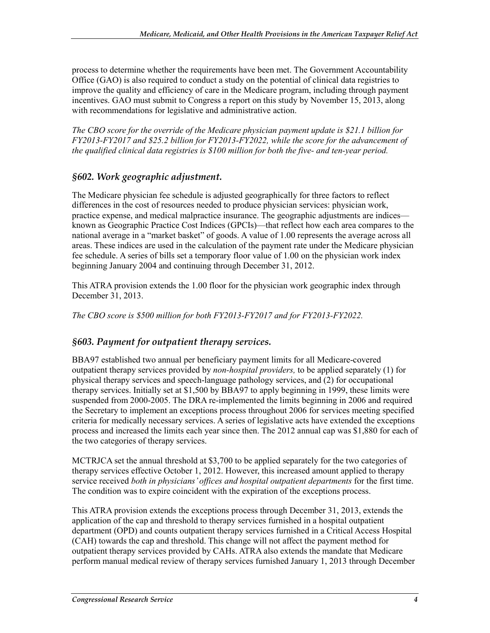process to determine whether the requirements have been met. The Government Accountability Office (GAO) is also required to conduct a study on the potential of clinical data registries to improve the quality and efficiency of care in the Medicare program, including through payment incentives. GAO must submit to Congress a report on this study by November 15, 2013, along with recommendations for legislative and administrative action.

*The CBO score for the override of the Medicare physician payment update is \$21.1 billion for FY2013-FY2017 and \$25.2 billion for FY2013-FY2022, while the score for the advancement of the qualified clinical data registries is \$100 million for both the five- and ten-year period.*

#### *§602. Work geographic adjustment.*

The Medicare physician fee schedule is adjusted geographically for three factors to reflect differences in the cost of resources needed to produce physician services: physician work, practice expense, and medical malpractice insurance. The geographic adjustments are indices known as Geographic Practice Cost Indices (GPCIs)—that reflect how each area compares to the national average in a "market basket" of goods. A value of 1.00 represents the average across all areas. These indices are used in the calculation of the payment rate under the Medicare physician fee schedule. A series of bills set a temporary floor value of 1.00 on the physician work index beginning January 2004 and continuing through December 31, 2012.

This ATRA provision extends the 1.00 floor for the physician work geographic index through December 31, 2013.

*The CBO score is \$500 million for both FY2013-FY2017 and for FY2013-FY2022.*

#### *§603. Payment for outpatient therapy services.*

BBA97 established two annual per beneficiary payment limits for all Medicare-covered outpatient therapy services provided by *non-hospital providers,* to be applied separately (1) for physical therapy services and speech-language pathology services, and (2) for occupational therapy services. Initially set at \$1,500 by BBA97 to apply beginning in 1999, these limits were suspended from 2000-2005. The DRA re-implemented the limits beginning in 2006 and required the Secretary to implement an exceptions process throughout 2006 for services meeting specified criteria for medically necessary services. A series of legislative acts have extended the exceptions process and increased the limits each year since then. The 2012 annual cap was \$1,880 for each of the two categories of therapy services.

MCTRJCA set the annual threshold at \$3,700 to be applied separately for the two categories of therapy services effective October 1, 2012. However, this increased amount applied to therapy service received *both in physicians' offices and hospital outpatient departments* for the first time. The condition was to expire coincident with the expiration of the exceptions process.

This ATRA provision extends the exceptions process through December 31, 2013, extends the application of the cap and threshold to therapy services furnished in a hospital outpatient department (OPD) and counts outpatient therapy services furnished in a Critical Access Hospital (CAH) towards the cap and threshold. This change will not affect the payment method for outpatient therapy services provided by CAHs. ATRA also extends the mandate that Medicare perform manual medical review of therapy services furnished January 1, 2013 through December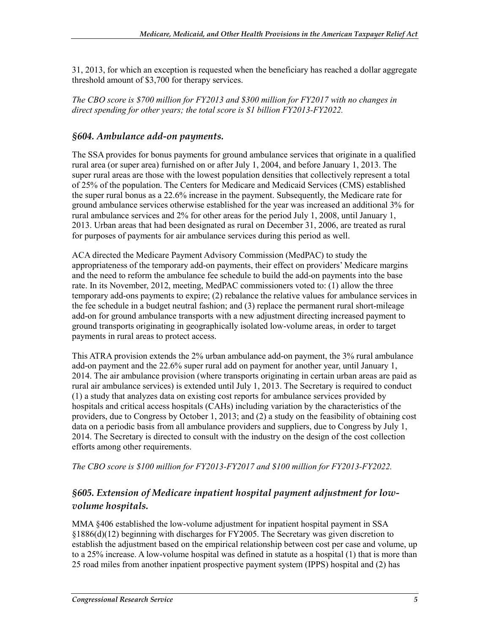31, 2013, for which an exception is requested when the beneficiary has reached a dollar aggregate threshold amount of \$3,700 for therapy services.

*The CBO score is \$700 million for FY2013 and \$300 million for FY2017 with no changes in direct spending for other years; the total score is \$1 billion FY2013-FY2022.*

#### *§604. Ambulance add-on payments.*

The SSA provides for bonus payments for ground ambulance services that originate in a qualified rural area (or super area) furnished on or after July 1, 2004, and before January 1, 2013. The super rural areas are those with the lowest population densities that collectively represent a total of 25% of the population. The Centers for Medicare and Medicaid Services (CMS) established the super rural bonus as a 22.6% increase in the payment. Subsequently, the Medicare rate for ground ambulance services otherwise established for the year was increased an additional 3% for rural ambulance services and 2% for other areas for the period July 1, 2008, until January 1, 2013. Urban areas that had been designated as rural on December 31, 2006, are treated as rural for purposes of payments for air ambulance services during this period as well.

ACA directed the Medicare Payment Advisory Commission (MedPAC) to study the appropriateness of the temporary add-on payments, their effect on providers' Medicare margins and the need to reform the ambulance fee schedule to build the add-on payments into the base rate. In its November, 2012, meeting, MedPAC commissioners voted to: (1) allow the three temporary add-ons payments to expire; (2) rebalance the relative values for ambulance services in the fee schedule in a budget neutral fashion; and (3) replace the permanent rural short-mileage add-on for ground ambulance transports with a new adjustment directing increased payment to ground transports originating in geographically isolated low-volume areas, in order to target payments in rural areas to protect access.

This ATRA provision extends the 2% urban ambulance add-on payment, the 3% rural ambulance add-on payment and the 22.6% super rural add on payment for another year, until January 1, 2014. The air ambulance provision (where transports originating in certain urban areas are paid as rural air ambulance services) is extended until July 1, 2013. The Secretary is required to conduct (1) a study that analyzes data on existing cost reports for ambulance services provided by hospitals and critical access hospitals (CAHs) including variation by the characteristics of the providers, due to Congress by October 1, 2013; and (2) a study on the feasibility of obtaining cost data on a periodic basis from all ambulance providers and suppliers, due to Congress by July 1, 2014. The Secretary is directed to consult with the industry on the design of the cost collection efforts among other requirements.

*The CBO score is \$100 million for FY2013-FY2017 and \$100 million for FY2013-FY2022.*

#### *§605. Extension of Medicare inpatient hospital payment adjustment for lowvolume hospitals.*

MMA §406 established the low-volume adjustment for inpatient hospital payment in SSA §1886(d)(12) beginning with discharges for FY2005. The Secretary was given discretion to establish the adjustment based on the empirical relationship between cost per case and volume, up to a 25% increase. A low-volume hospital was defined in statute as a hospital (1) that is more than 25 road miles from another inpatient prospective payment system (IPPS) hospital and (2) has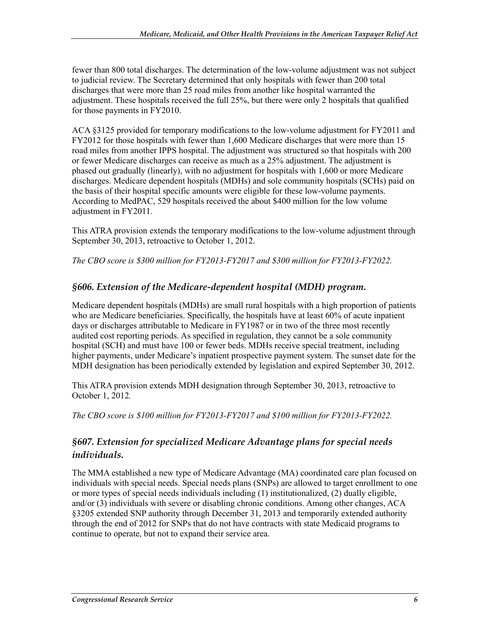fewer than 800 total discharges. The determination of the low-volume adjustment was not subject to judicial review. The Secretary determined that only hospitals with fewer than 200 total discharges that were more than 25 road miles from another like hospital warranted the adjustment. These hospitals received the full 25%, but there were only 2 hospitals that qualified for those payments in FY2010.

ACA §3125 provided for temporary modifications to the low-volume adjustment for FY2011 and FY2012 for those hospitals with fewer than 1,600 Medicare discharges that were more than 15 road miles from another IPPS hospital. The adjustment was structured so that hospitals with 200 or fewer Medicare discharges can receive as much as a 25% adjustment. The adjustment is phased out gradually (linearly), with no adjustment for hospitals with 1,600 or more Medicare discharges. Medicare dependent hospitals (MDHs) and sole community hospitals (SCHs) paid on the basis of their hospital specific amounts were eligible for these low-volume payments. According to MedPAC, 529 hospitals received the about \$400 million for the low volume adjustment in FY2011.

This ATRA provision extends the temporary modifications to the low-volume adjustment through September 30, 2013, retroactive to October 1, 2012.

*The CBO score is \$300 million for FY2013-FY2017 and \$300 million for FY2013-FY2022.*

#### *§606. Extension of the Medicare-dependent hospital (MDH) program.*

Medicare dependent hospitals (MDHs) are small rural hospitals with a high proportion of patients who are Medicare beneficiaries. Specifically, the hospitals have at least 60% of acute inpatient days or discharges attributable to Medicare in FY1987 or in two of the three most recently audited cost reporting periods. As specified in regulation, they cannot be a sole community hospital (SCH) and must have 100 or fewer beds. MDHs receive special treatment, including higher payments, under Medicare's inpatient prospective payment system. The sunset date for the MDH designation has been periodically extended by legislation and expired September 30, 2012.

This ATRA provision extends MDH designation through September 30, 2013, retroactive to October 1, 2012*.* 

*The CBO score is \$100 million for FY2013-FY2017 and \$100 million for FY2013-FY2022.* 

#### *§607. Extension for specialized Medicare Advantage plans for special needs individuals.*

The MMA established a new type of Medicare Advantage (MA) coordinated care plan focused on individuals with special needs. Special needs plans (SNPs) are allowed to target enrollment to one or more types of special needs individuals including (1) institutionalized, (2) dually eligible, and/or (3) individuals with severe or disabling chronic conditions. Among other changes, ACA §3205 extended SNP authority through December 31, 2013 and temporarily extended authority through the end of 2012 for SNPs that do not have contracts with state Medicaid programs to continue to operate, but not to expand their service area.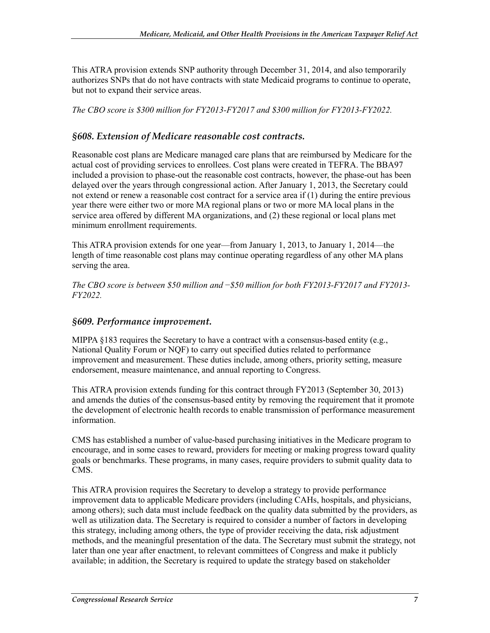This ATRA provision extends SNP authority through December 31, 2014, and also temporarily authorizes SNPs that do not have contracts with state Medicaid programs to continue to operate, but not to expand their service areas.

*The CBO score is \$300 million for FY2013-FY2017 and \$300 million for FY2013-FY2022.* 

#### *§608. Extension of Medicare reasonable cost contracts.*

Reasonable cost plans are Medicare managed care plans that are reimbursed by Medicare for the actual cost of providing services to enrollees. Cost plans were created in TEFRA. The BBA97 included a provision to phase-out the reasonable cost contracts, however, the phase-out has been delayed over the years through congressional action. After January 1, 2013, the Secretary could not extend or renew a reasonable cost contract for a service area if (1) during the entire previous year there were either two or more MA regional plans or two or more MA local plans in the service area offered by different MA organizations, and (2) these regional or local plans met minimum enrollment requirements.

This ATRA provision extends for one year—from January 1, 2013, to January 1, 2014—the length of time reasonable cost plans may continue operating regardless of any other MA plans serving the area.

*The CBO score is between \$50 million and* −*\$50 million for both FY2013-FY2017 and FY2013- FY2022.* 

#### *§609. Performance improvement.*

MIPPA  $\S 183$  requires the Secretary to have a contract with a consensus-based entity (e.g., National Quality Forum or NQF) to carry out specified duties related to performance improvement and measurement. These duties include, among others, priority setting, measure endorsement, measure maintenance, and annual reporting to Congress.

This ATRA provision extends funding for this contract through FY2013 (September 30, 2013) and amends the duties of the consensus-based entity by removing the requirement that it promote the development of electronic health records to enable transmission of performance measurement information.

CMS has established a number of value-based purchasing initiatives in the Medicare program to encourage, and in some cases to reward, providers for meeting or making progress toward quality goals or benchmarks. These programs, in many cases, require providers to submit quality data to CMS.

This ATRA provision requires the Secretary to develop a strategy to provide performance improvement data to applicable Medicare providers (including CAHs, hospitals, and physicians, among others); such data must include feedback on the quality data submitted by the providers, as well as utilization data. The Secretary is required to consider a number of factors in developing this strategy, including among others, the type of provider receiving the data, risk adjustment methods, and the meaningful presentation of the data. The Secretary must submit the strategy, not later than one year after enactment, to relevant committees of Congress and make it publicly available; in addition, the Secretary is required to update the strategy based on stakeholder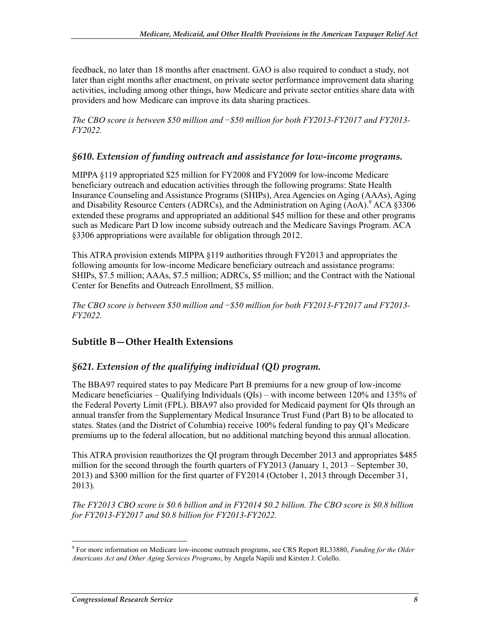feedback, no later than 18 months after enactment. GAO is also required to conduct a study, not later than eight months after enactment, on private sector performance improvement data sharing activities, including among other things, how Medicare and private sector entities share data with providers and how Medicare can improve its data sharing practices.

*The CBO score is between \$50 million and* −*\$50 million for both FY2013-FY2017 and FY2013- FY2022.* 

#### *§610. Extension of funding outreach and assistance for low-income programs.*

MIPPA §119 appropriated \$25 million for FY2008 and FY2009 for low-income Medicare beneficiary outreach and education activities through the following programs: State Health Insurance Counseling and Assistance Programs (SHIPs), Area Agencies on Aging (AAAs), Aging and Disability Resource Centers (ADRCs), and the Administration on Aging (AoA).<sup>9</sup> ACA §3306 extended these programs and appropriated an additional \$45 million for these and other programs such as Medicare Part D low income subsidy outreach and the Medicare Savings Program. ACA §3306 appropriations were available for obligation through 2012.

This ATRA provision extends MIPPA §119 authorities through FY2013 and appropriates the following amounts for low-income Medicare beneficiary outreach and assistance programs: SHIPs, \$7.5 million; AAAs, \$7.5 million; ADRCs, \$5 million; and the Contract with the National Center for Benefits and Outreach Enrollment, \$5 million.

*The CBO score is between \$50 million and* −*\$50 million for both FY2013-FY2017 and FY2013- FY2022.* 

#### **Subtitle B—Other Health Extensions**

#### *§621. Extension of the qualifying individual (QI) program.*

The BBA97 required states to pay Medicare Part B premiums for a new group of low-income Medicare beneficiaries – Qualifying Individuals (QIs) – with income between 120% and 135% of the Federal Poverty Limit (FPL). BBA97 also provided for Medicaid payment for QIs through an annual transfer from the Supplementary Medical Insurance Trust Fund (Part B) to be allocated to states. States (and the District of Columbia) receive 100% federal funding to pay QI's Medicare premiums up to the federal allocation, but no additional matching beyond this annual allocation.

This ATRA provision reauthorizes the QI program through December 2013 and appropriates \$485 million for the second through the fourth quarters of FY2013 (January 1, 2013 – September 30, 2013) and \$300 million for the first quarter of FY2014 (October 1, 2013 through December 31, 2013).

*The FY2013 CBO score is \$0.6 billion and in FY2014 \$0.2 billion. The CBO score is \$0.8 billion for FY2013-FY2017 and \$0.8 billion for FY2013-FY2022.*

 9 For more information on Medicare low-income outreach programs, see CRS Report RL33880, *Funding for the Older Americans Act and Other Aging Services Programs*, by Angela Napili and Kirsten J. Colello.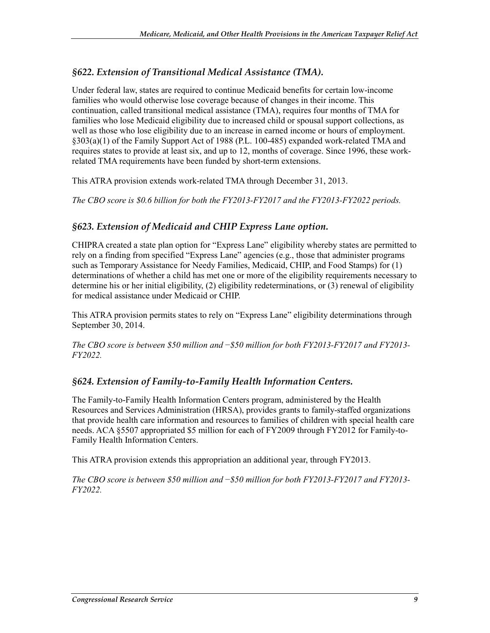#### *§622. Extension of Transitional Medical Assistance (TMA).*

Under federal law, states are required to continue Medicaid benefits for certain low-income families who would otherwise lose coverage because of changes in their income. This continuation, called transitional medical assistance (TMA), requires four months of TMA for families who lose Medicaid eligibility due to increased child or spousal support collections, as well as those who lose eligibility due to an increase in earned income or hours of employment. §303(a)(1) of the Family Support Act of 1988 (P.L. 100-485) expanded work-related TMA and requires states to provide at least six, and up to 12, months of coverage. Since 1996, these workrelated TMA requirements have been funded by short-term extensions.

This ATRA provision extends work-related TMA through December 31, 2013.

*The CBO score is \$0.6 billion for both the FY2013-FY2017 and the FY2013-FY2022 periods.* 

#### *§623. Extension of Medicaid and CHIP Express Lane option.*

CHIPRA created a state plan option for "Express Lane" eligibility whereby states are permitted to rely on a finding from specified "Express Lane" agencies (e.g., those that administer programs such as Temporary Assistance for Needy Families, Medicaid, CHIP, and Food Stamps) for (1) determinations of whether a child has met one or more of the eligibility requirements necessary to determine his or her initial eligibility, (2) eligibility redeterminations, or (3) renewal of eligibility for medical assistance under Medicaid or CHIP.

This ATRA provision permits states to rely on "Express Lane" eligibility determinations through September 30, 2014.

*The CBO score is between \$50 million and* −*\$50 million for both FY2013-FY2017 and FY2013- FY2022.* 

#### *§624. Extension of Family-to-Family Health Information Centers.*

The Family-to-Family Health Information Centers program, administered by the Health Resources and Services Administration (HRSA), provides grants to family-staffed organizations that provide health care information and resources to families of children with special health care needs. ACA §5507 appropriated \$5 million for each of FY2009 through FY2012 for Family-to-Family Health Information Centers.

This ATRA provision extends this appropriation an additional year, through FY2013.

*The CBO score is between \$50 million and* −*\$50 million for both FY2013-FY2017 and FY2013- FY2022.*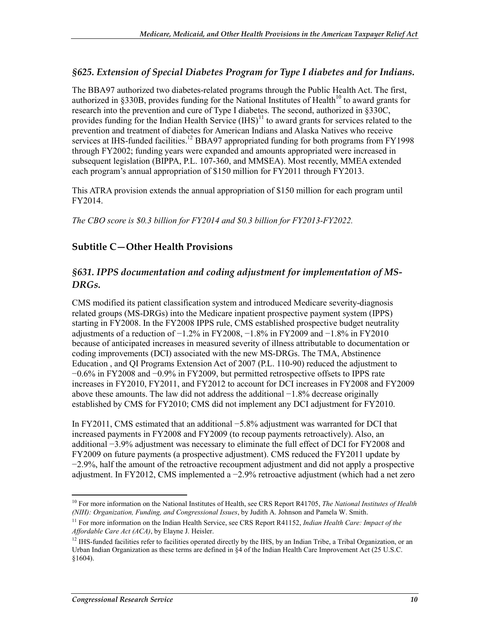#### *§625. Extension of Special Diabetes Program for Type I diabetes and for Indians.*

The BBA97 authorized two diabetes-related programs through the Public Health Act. The first, authorized in  $\S 330B$ , provides funding for the National Institutes of Health<sup>10</sup> to award grants for research into the prevention and cure of Type I diabetes. The second, authorized in §330C, provides funding for the Indian Health Service  $(HIS)^{11}$  to award grants for services related to the prevention and treatment of diabetes for American Indians and Alaska Natives who receive services at IHS-funded facilities.<sup>12</sup> BBA97 appropriated funding for both programs from FY1998 through FY2002; funding years were expanded and amounts appropriated were increased in subsequent legislation (BIPPA, P.L. 107-360, and MMSEA). Most recently, MMEA extended each program's annual appropriation of \$150 million for FY2011 through FY2013.

This ATRA provision extends the annual appropriation of \$150 million for each program until FY2014.

*The CBO score is \$0.3 billion for FY2014 and \$0.3 billion for FY2013-FY2022.* 

#### **Subtitle C—Other Health Provisions**

#### *§631. IPPS documentation and coding adjustment for implementation of MS-DRGs.*

CMS modified its patient classification system and introduced Medicare severity-diagnosis related groups (MS-DRGs) into the Medicare inpatient prospective payment system (IPPS) starting in FY2008. In the FY2008 IPPS rule, CMS established prospective budget neutrality adjustments of a reduction of  $-1.2\%$  in FY2008,  $-1.8\%$  in FY2009 and  $-1.8\%$  in FY2010 because of anticipated increases in measured severity of illness attributable to documentation or coding improvements (DCI) associated with the new MS-DRGs. The TMA, Abstinence Education , and QI Programs Extension Act of 2007 (P.L. 110-90) reduced the adjustment to −0.6% in FY2008 and −0.9% in FY2009, but permitted retrospective offsets to IPPS rate increases in FY2010, FY2011, and FY2012 to account for DCI increases in FY2008 and FY2009 above these amounts. The law did not address the additional −1.8% decrease originally established by CMS for FY2010; CMS did not implement any DCI adjustment for FY2010.

In FY2011, CMS estimated that an additional −5.8% adjustment was warranted for DCI that increased payments in FY2008 and FY2009 (to recoup payments retroactively). Also, an additional −3.9% adjustment was necessary to eliminate the full effect of DCI for FY2008 and FY2009 on future payments (a prospective adjustment). CMS reduced the FY2011 update by −2.9%, half the amount of the retroactive recoupment adjustment and did not apply a prospective adjustment. In FY2012, CMS implemented a −2.9% retroactive adjustment (which had a net zero

<sup>1</sup> 10 For more information on the National Institutes of Health, see CRS Report R41705, *The National Institutes of Health (NIH): Organization, Funding, and Congressional Issues*, by Judith A. Johnson and Pamela W. Smith.

<sup>&</sup>lt;sup>11</sup> For more information on the Indian Health Service, see CRS Report R41152, *Indian Health Care: Impact of the Affordable Care Act (ACA)*, by Elayne J. Heisler.

<sup>&</sup>lt;sup>12</sup> IHS-funded facilities refer to facilities operated directly by the IHS, by an Indian Tribe, a Tribal Organization, or an Urban Indian Organization as these terms are defined in §4 of the Indian Health Care Improvement Act (25 U.S.C.  $§1604$ ).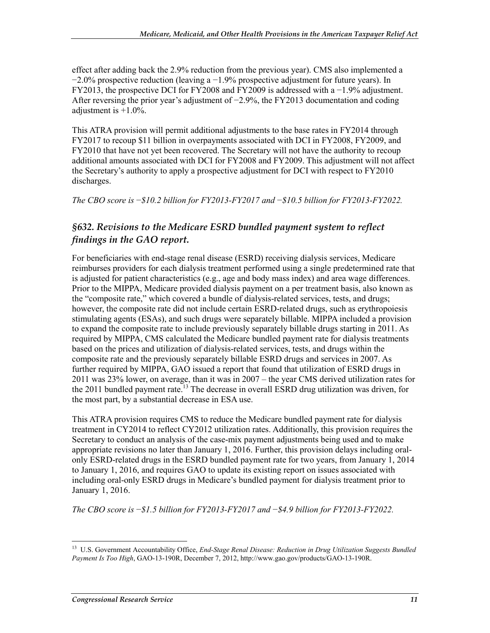effect after adding back the 2.9% reduction from the previous year). CMS also implemented a  $-2.0\%$  prospective reduction (leaving a  $-1.9\%$  prospective adjustment for future years). In FY2013, the prospective DCI for FY2008 and FY2009 is addressed with a −1.9% adjustment. After reversing the prior year's adjustment of −2.9%, the FY2013 documentation and coding adjustment is  $+1.0\%$ .

This ATRA provision will permit additional adjustments to the base rates in FY2014 through FY2017 to recoup \$11 billion in overpayments associated with DCI in FY2008, FY2009, and FY2010 that have not yet been recovered. The Secretary will not have the authority to recoup additional amounts associated with DCI for FY2008 and FY2009. This adjustment will not affect the Secretary's authority to apply a prospective adjustment for DCI with respect to FY2010 discharges.

*The CBO score is* −*\$10.2 billion for FY2013-FY2017 and* −*\$10.5 billion for FY2013-FY2022.*

#### *§632. Revisions to the Medicare ESRD bundled payment system to reflect findings in the GAO report.*

For beneficiaries with end-stage renal disease (ESRD) receiving dialysis services, Medicare reimburses providers for each dialysis treatment performed using a single predetermined rate that is adjusted for patient characteristics (e.g., age and body mass index) and area wage differences. Prior to the MIPPA, Medicare provided dialysis payment on a per treatment basis, also known as the "composite rate," which covered a bundle of dialysis-related services, tests, and drugs; however, the composite rate did not include certain ESRD-related drugs, such as erythropoiesis stimulating agents (ESAs), and such drugs were separately billable. MIPPA included a provision to expand the composite rate to include previously separately billable drugs starting in 2011. As required by MIPPA, CMS calculated the Medicare bundled payment rate for dialysis treatments based on the prices and utilization of dialysis-related services, tests, and drugs within the composite rate and the previously separately billable ESRD drugs and services in 2007. As further required by MIPPA, GAO issued a report that found that utilization of ESRD drugs in 2011 was 23% lower, on average, than it was in 2007 – the year CMS derived utilization rates for the 2011 bundled payment rate.<sup>13</sup> The decrease in overall ESRD drug utilization was driven, for the most part, by a substantial decrease in ESA use.

This ATRA provision requires CMS to reduce the Medicare bundled payment rate for dialysis treatment in CY2014 to reflect CY2012 utilization rates. Additionally, this provision requires the Secretary to conduct an analysis of the case-mix payment adjustments being used and to make appropriate revisions no later than January 1, 2016. Further, this provision delays including oralonly ESRD-related drugs in the ESRD bundled payment rate for two years, from January 1, 2014 to January 1, 2016, and requires GAO to update its existing report on issues associated with including oral-only ESRD drugs in Medicare's bundled payment for dialysis treatment prior to January 1, 2016.

*The CBO score is* −*\$1.5 billion for FY2013-FY2017 and* −*\$4.9 billion for FY2013-FY2022.*

<sup>1</sup> 13 U.S. Government Accountability Office, *End-Stage Renal Disease: Reduction in Drug Utilization Suggests Bundled Payment Is Too High*, GAO-13-190R, December 7, 2012, http://www.gao.gov/products/GAO-13-190R.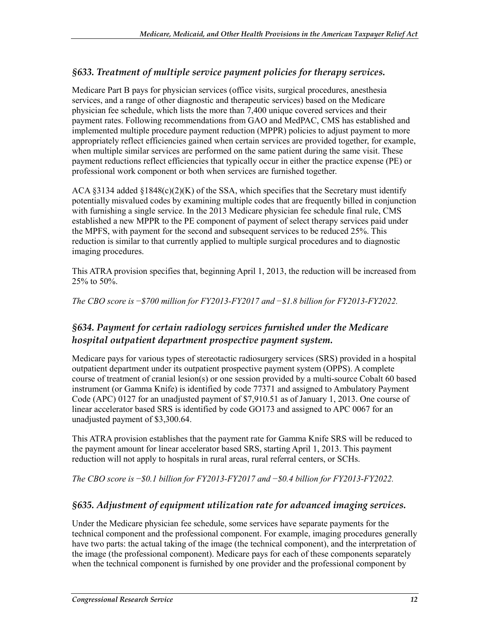#### *§633. Treatment of multiple service payment policies for therapy services.*

Medicare Part B pays for physician services (office visits, surgical procedures, anesthesia services, and a range of other diagnostic and therapeutic services) based on the Medicare physician fee schedule, which lists the more than 7,400 unique covered services and their payment rates. Following recommendations from GAO and MedPAC, CMS has established and implemented multiple procedure payment reduction (MPPR) policies to adjust payment to more appropriately reflect efficiencies gained when certain services are provided together, for example, when multiple similar services are performed on the same patient during the same visit. These payment reductions reflect efficiencies that typically occur in either the practice expense (PE) or professional work component or both when services are furnished together.

ACA  $\S 3134$  added  $\S 1848(c)(2)(K)$  of the SSA, which specifies that the Secretary must identify potentially misvalued codes by examining multiple codes that are frequently billed in conjunction with furnishing a single service. In the 2013 Medicare physician fee schedule final rule, CMS established a new MPPR to the PE component of payment of select therapy services paid under the MPFS, with payment for the second and subsequent services to be reduced 25%. This reduction is similar to that currently applied to multiple surgical procedures and to diagnostic imaging procedures.

This ATRA provision specifies that, beginning April 1, 2013, the reduction will be increased from 25% to 50%.

*The CBO score is* −*\$700 million for FY2013-FY2017 and* −*\$1.8 billion for FY2013-FY2022.*

#### *§634. Payment for certain radiology services furnished under the Medicare hospital outpatient department prospective payment system.*

Medicare pays for various types of stereotactic radiosurgery services (SRS) provided in a hospital outpatient department under its outpatient prospective payment system (OPPS). A complete course of treatment of cranial lesion(s) or one session provided by a multi-source Cobalt 60 based instrument (or Gamma Knife) is identified by code 77371 and assigned to Ambulatory Payment Code (APC) 0127 for an unadjusted payment of \$7,910.51 as of January 1, 2013. One course of linear accelerator based SRS is identified by code GO173 and assigned to APC 0067 for an unadjusted payment of \$3,300.64.

This ATRA provision establishes that the payment rate for Gamma Knife SRS will be reduced to the payment amount for linear accelerator based SRS, starting April 1, 2013. This payment reduction will not apply to hospitals in rural areas, rural referral centers, or SCHs.

*The CBO score is* −*\$0.1 billion for FY2013-FY2017 and* −*\$0.4 billion for FY2013-FY2022.*

#### *§635. Adjustment of equipment utilization rate for advanced imaging services.*

Under the Medicare physician fee schedule, some services have separate payments for the technical component and the professional component. For example, imaging procedures generally have two parts: the actual taking of the image (the technical component), and the interpretation of the image (the professional component). Medicare pays for each of these components separately when the technical component is furnished by one provider and the professional component by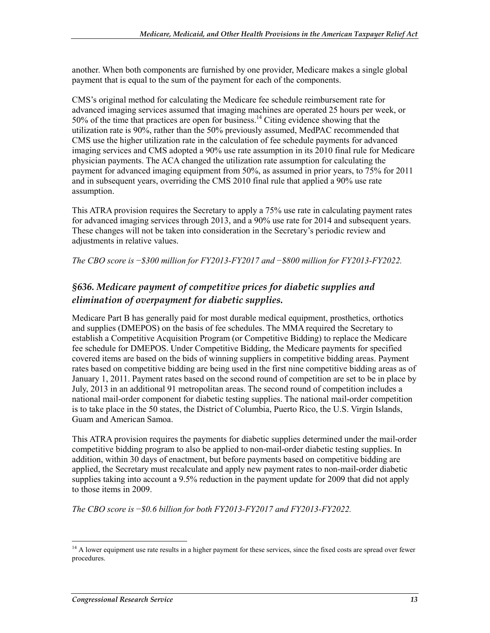another. When both components are furnished by one provider, Medicare makes a single global payment that is equal to the sum of the payment for each of the components.

CMS's original method for calculating the Medicare fee schedule reimbursement rate for advanced imaging services assumed that imaging machines are operated 25 hours per week, or 50% of the time that practices are open for business.<sup>14</sup> Citing evidence showing that the utilization rate is 90%, rather than the 50% previously assumed, MedPAC recommended that CMS use the higher utilization rate in the calculation of fee schedule payments for advanced imaging services and CMS adopted a 90% use rate assumption in its 2010 final rule for Medicare physician payments. The ACA changed the utilization rate assumption for calculating the payment for advanced imaging equipment from 50%, as assumed in prior years, to 75% for 2011 and in subsequent years, overriding the CMS 2010 final rule that applied a 90% use rate assumption.

This ATRA provision requires the Secretary to apply a 75% use rate in calculating payment rates for advanced imaging services through 2013, and a 90% use rate for 2014 and subsequent years. These changes will not be taken into consideration in the Secretary's periodic review and adjustments in relative values.

*The CBO score is* −*\$300 million for FY2013-FY2017 and* −*\$800 million for FY2013-FY2022.*

#### *§636. Medicare payment of competitive prices for diabetic supplies and elimination of overpayment for diabetic supplies.*

Medicare Part B has generally paid for most durable medical equipment, prosthetics, orthotics and supplies (DMEPOS) on the basis of fee schedules. The MMA required the Secretary to establish a Competitive Acquisition Program (or Competitive Bidding) to replace the Medicare fee schedule for DMEPOS. Under Competitive Bidding, the Medicare payments for specified covered items are based on the bids of winning suppliers in competitive bidding areas. Payment rates based on competitive bidding are being used in the first nine competitive bidding areas as of January 1, 2011. Payment rates based on the second round of competition are set to be in place by July, 2013 in an additional 91 metropolitan areas. The second round of competition includes a national mail-order component for diabetic testing supplies. The national mail-order competition is to take place in the 50 states, the District of Columbia, Puerto Rico, the U.S. Virgin Islands, Guam and American Samoa.

This ATRA provision requires the payments for diabetic supplies determined under the mail-order competitive bidding program to also be applied to non-mail-order diabetic testing supplies. In addition, within 30 days of enactment, but before payments based on competitive bidding are applied, the Secretary must recalculate and apply new payment rates to non-mail-order diabetic supplies taking into account a 9.5% reduction in the payment update for 2009 that did not apply to those items in 2009.

*The CBO score is* −*\$0.6 billion for both FY2013-FY2017 and FY2013-FY2022.* 

 $14$  A lower equipment use rate results in a higher payment for these services, since the fixed costs are spread over fewer procedures.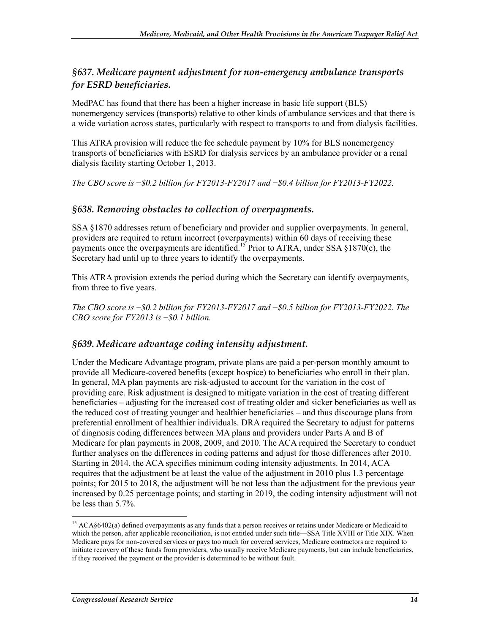#### *§637. Medicare payment adjustment for non-emergency ambulance transports for ESRD beneficiaries.*

MedPAC has found that there has been a higher increase in basic life support (BLS) nonemergency services (transports) relative to other kinds of ambulance services and that there is a wide variation across states, particularly with respect to transports to and from dialysis facilities.

This ATRA provision will reduce the fee schedule payment by 10% for BLS nonemergency transports of beneficiaries with ESRD for dialysis services by an ambulance provider or a renal dialysis facility starting October 1, 2013.

*The CBO score is* −*\$0.2 billion for FY2013-FY2017 and* −*\$0.4 billion for FY2013-FY2022.*

#### *§638. Removing obstacles to collection of overpayments.*

SSA §1870 addresses return of beneficiary and provider and supplier overpayments. In general, providers are required to return incorrect (overpayments) within 60 days of receiving these payments once the overpayments are identified.<sup>15</sup> Prior to ATRA, under SSA  $\S$ 1870(c), the Secretary had until up to three years to identify the overpayments.

This ATRA provision extends the period during which the Secretary can identify overpayments, from three to five years.

*The CBO score is* −*\$0.2 billion for FY2013-FY2017 and* −*\$0.5 billion for FY2013-FY2022. The CBO score for FY2013 is* −*\$0.1 billion.* 

#### *§639. Medicare advantage coding intensity adjustment.*

Under the Medicare Advantage program, private plans are paid a per-person monthly amount to provide all Medicare-covered benefits (except hospice) to beneficiaries who enroll in their plan. In general, MA plan payments are risk-adjusted to account for the variation in the cost of providing care. Risk adjustment is designed to mitigate variation in the cost of treating different beneficiaries – adjusting for the increased cost of treating older and sicker beneficiaries as well as the reduced cost of treating younger and healthier beneficiaries – and thus discourage plans from preferential enrollment of healthier individuals. DRA required the Secretary to adjust for patterns of diagnosis coding differences between MA plans and providers under Parts A and B of Medicare for plan payments in 2008, 2009, and 2010. The ACA required the Secretary to conduct further analyses on the differences in coding patterns and adjust for those differences after 2010. Starting in 2014, the ACA specifies minimum coding intensity adjustments. In 2014, ACA requires that the adjustment be at least the value of the adjustment in 2010 plus 1.3 percentage points; for 2015 to 2018, the adjustment will be not less than the adjustment for the previous year increased by 0.25 percentage points; and starting in 2019, the coding intensity adjustment will not be less than 5.7%.

<sup>&</sup>lt;sup>15</sup> ACA§6402(a) defined overpayments as any funds that a person receives or retains under Medicare or Medicaid to which the person, after applicable reconciliation, is not entitled under such title—SSA Title XVIII or Title XIX. When Medicare pays for non-covered services or pays too much for covered services, Medicare contractors are required to initiate recovery of these funds from providers, who usually receive Medicare payments, but can include beneficiaries, if they received the payment or the provider is determined to be without fault.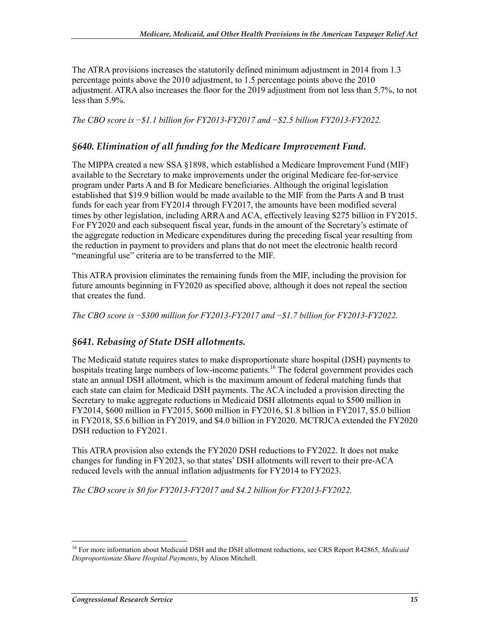The ATRA provisions increases the statutorily defined minimum adjustment in 2014 from 1.3 percentage points above the 2010 adjustment, to 1.5 percentage points above the 2010 adjustment. ATRA also increases the floor for the 2019 adjustment from not less than 5.7%, to not less than 5.9%.

*The CBO score is* −*\$1.1 billion for FY2013-FY2017 and* −*\$2.5 billion FY2013-FY2022.* 

#### *§640. Elimination of all funding for the Medicare Improvement Fund.*

The MIPPA created a new SSA §1898, which established a Medicare Improvement Fund (MIF) available to the Secretary to make improvements under the original Medicare fee-for-service program under Parts A and B for Medicare beneficiaries. Although the original legislation established that \$19.9 billion would be made available to the MIF from the Parts A and B trust funds for each year from FY2014 through FY2017, the amounts have been modified several times by other legislation, including ARRA and ACA, effectively leaving \$275 billion in FY2015. For FY2020 and each subsequent fiscal year, funds in the amount of the Secretary's estimate of the aggregate reduction in Medicare expenditures during the preceding fiscal year resulting from the reduction in payment to providers and plans that do not meet the electronic health record "meaningful use" criteria are to be transferred to the MIF.

This ATRA provision eliminates the remaining funds from the MIF, including the provision for future amounts beginning in FY2020 as specified above, although it does not repeal the section that creates the fund.

*The CBO score is* −*\$300 million for FY2013-FY2017 and* −*\$1.7 billion for FY2013-FY2022.*

#### *§641. Rebasing of State DSH allotments.*

The Medicaid statute requires states to make disproportionate share hospital (DSH) payments to hospitals treating large numbers of low-income patients.<sup>16</sup> The federal government provides each state an annual DSH allotment, which is the maximum amount of federal matching funds that each state can claim for Medicaid DSH payments. The ACA included a provision directing the Secretary to make aggregate reductions in Medicaid DSH allotments equal to \$500 million in FY2014, \$600 million in FY2015, \$600 million in FY2016, \$1.8 billion in FY2017, \$5.0 billion in FY2018, \$5.6 billion in FY2019, and \$4.0 billion in FY2020. MCTRJCA extended the FY2020 DSH reduction to FY2021.

This ATRA provision also extends the FY2020 DSH reductions to FY2022. It does not make changes for funding in FY2023, so that states' DSH allotments will revert to their pre-ACA reduced levels with the annual inflation adjustments for FY2014 to FY2023.

*The CBO score is \$0 for FY2013-FY2017 and \$4.2 billion for FY2013-FY2022.* 

<sup>16</sup> For more information about Medicaid DSH and the DSH allotment reductions, see CRS Report R42865, *Medicaid Disproportionate Share Hospital Payments*, by Alison Mitchell.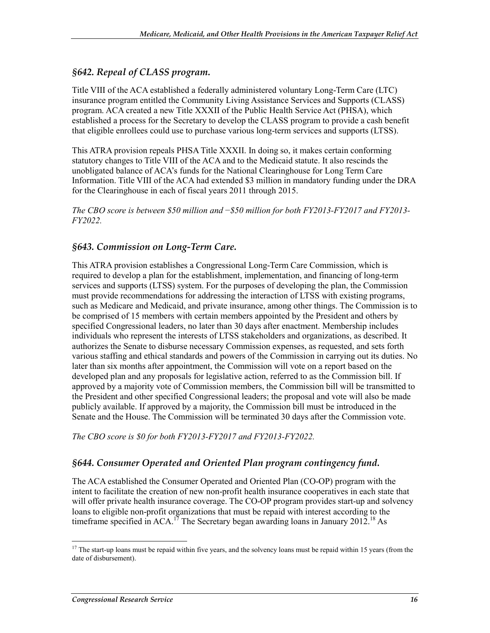#### *§642. Repeal of CLASS program.*

Title VIII of the ACA established a federally administered voluntary Long-Term Care (LTC) insurance program entitled the Community Living Assistance Services and Supports (CLASS) program. ACA created a new Title XXXII of the Public Health Service Act (PHSA), which established a process for the Secretary to develop the CLASS program to provide a cash benefit that eligible enrollees could use to purchase various long-term services and supports (LTSS).

This ATRA provision repeals PHSA Title XXXII. In doing so, it makes certain conforming statutory changes to Title VIII of the ACA and to the Medicaid statute. It also rescinds the unobligated balance of ACA's funds for the National Clearinghouse for Long Term Care Information. Title VIII of the ACA had extended \$3 million in mandatory funding under the DRA for the Clearinghouse in each of fiscal years 2011 through 2015.

*The CBO score is between \$50 million and* −*\$50 million for both FY2013-FY2017 and FY2013- FY2022.*

#### *§643. Commission on Long-Term Care.*

This ATRA provision establishes a Congressional Long-Term Care Commission, which is required to develop a plan for the establishment, implementation, and financing of long-term services and supports (LTSS) system. For the purposes of developing the plan, the Commission must provide recommendations for addressing the interaction of LTSS with existing programs, such as Medicare and Medicaid, and private insurance, among other things. The Commission is to be comprised of 15 members with certain members appointed by the President and others by specified Congressional leaders, no later than 30 days after enactment. Membership includes individuals who represent the interests of LTSS stakeholders and organizations, as described. It authorizes the Senate to disburse necessary Commission expenses, as requested, and sets forth various staffing and ethical standards and powers of the Commission in carrying out its duties. No later than six months after appointment, the Commission will vote on a report based on the developed plan and any proposals for legislative action, referred to as the Commission bill. If approved by a majority vote of Commission members, the Commission bill will be transmitted to the President and other specified Congressional leaders; the proposal and vote will also be made publicly available. If approved by a majority, the Commission bill must be introduced in the Senate and the House. The Commission will be terminated 30 days after the Commission vote.

*The CBO score is \$0 for both FY2013-FY2017 and FY2013-FY2022.*

#### *§644. Consumer Operated and Oriented Plan program contingency fund.*

The ACA established the Consumer Operated and Oriented Plan (CO-OP) program with the intent to facilitate the creation of new non-profit health insurance cooperatives in each state that will offer private health insurance coverage. The CO-OP program provides start-up and solvency loans to eligible non-profit organizations that must be repaid with interest according to the timeframe specified in ACA.<sup>17</sup> The Secretary began awarding loans in January 2012.<sup>18</sup> As

<sup>1</sup> <sup>17</sup> The start-up loans must be repaid within five years, and the solvency loans must be repaid within 15 years (from the date of disbursement).